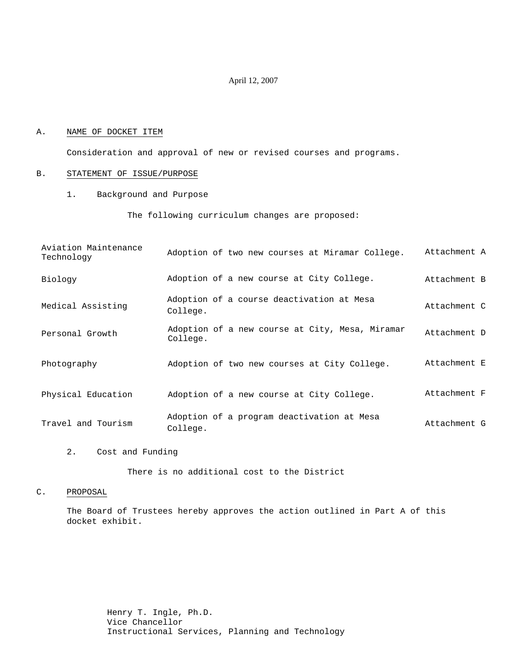#### April 12, 2007

#### A. NAME OF DOCKET ITEM

Consideration and approval of new or revised courses and programs.

#### B. STATEMENT OF ISSUE/PURPOSE

1. Background and Purpose

The following curriculum changes are proposed:

| Aviation Maintenance<br>Technology | Adoption of two new courses at Miramar College.             | Attachment A |
|------------------------------------|-------------------------------------------------------------|--------------|
| Biology                            | Adoption of a new course at City College.                   | Attachment B |
| Medical Assisting                  | Adoption of a course deactivation at Mesa<br>College.       | Attachment C |
| Personal Growth                    | Adoption of a new course at City, Mesa, Miramar<br>College. | Attachment D |
| Photography                        | Adoption of two new courses at City College.                | Attachment E |
| Physical Education                 | Adoption of a new course at City College.                   | Attachment F |
| Travel and Tourism                 | Adoption of a program deactivation at Mesa<br>College.      | Attachment G |

2. Cost and Funding

There is no additional cost to the District

### C. PROPOSAL

The Board of Trustees hereby approves the action outlined in Part A of this docket exhibit.

> Henry T. Ingle, Ph.D. Vice Chancellor Instructional Services, Planning and Technology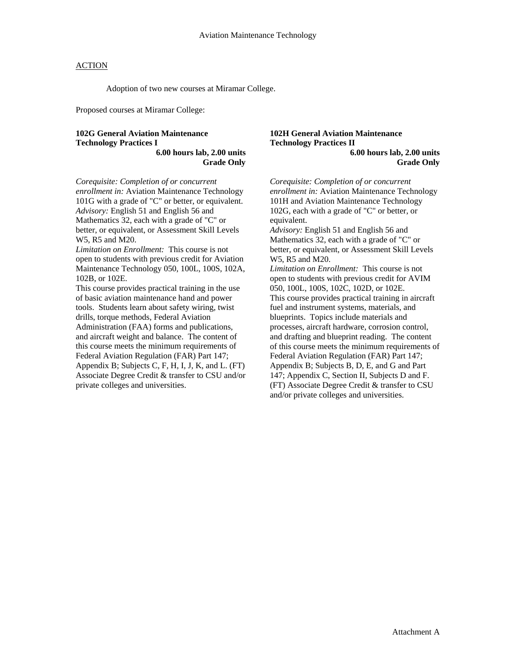Adoption of two new courses at Miramar College.

Proposed courses at Miramar College:

#### **102G General Aviation Maintenance Technology Practices I 6.00 hours lab, 2.00 units**

**Grade Only** 

*Corequisite: Completion of or concurrent enrollment in:* Aviation Maintenance Technology 101G with a grade of "C" or better, or equivalent. *Advisory:* English 51 and English 56 and Mathematics 32, each with a grade of "C" or better, or equivalent, or Assessment Skill Levels W5, R5 and M20.

*Limitation on Enrollment:* This course is not open to students with previous credit for Aviation Maintenance Technology 050, 100L, 100S, 102A, 102B, or 102E.

This course provides practical training in the use of basic aviation maintenance hand and power tools. Students learn about safety wiring, twist drills, torque methods, Federal Aviation Administration (FAA) forms and publications, and aircraft weight and balance. The content of this course meets the minimum requirements of Federal Aviation Regulation (FAR) Part 147; Appendix B; Subjects C, F, H, I, J, K, and L. (FT) Associate Degree Credit & transfer to CSU and/or private colleges and universities.

### **102H General Aviation Maintenance Technology Practices II 6.00 hours lab, 2.00 units**

**Grade Only** 

*Corequisite: Completion of or concurrent enrollment in:* Aviation Maintenance Technology 101H and Aviation Maintenance Technology 102G, each with a grade of "C" or better, or equivalent. *Advisory:* English 51 and English 56 and Mathematics 32, each with a grade of "C" or better, or equivalent, or Assessment Skill Levels W5, R5 and M20. *Limitation on Enrollment:* This course is not open to students with previous credit for AVIM 050, 100L, 100S, 102C, 102D, or 102E. This course provides practical training in aircraft fuel and instrument systems, materials, and blueprints. Topics include materials and processes, aircraft hardware, corrosion control, and drafting and blueprint reading. The content

of this course meets the minimum requirements of Federal Aviation Regulation (FAR) Part 147; Appendix B; Subjects B, D, E, and G and Part 147; Appendix C, Section II, Subjects D and F. (FT) Associate Degree Credit & transfer to CSU and/or private colleges and universities.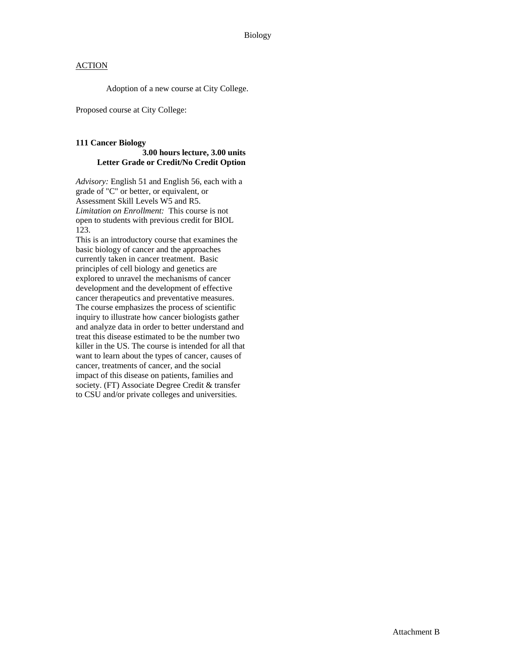Adoption of a new course at City College.

Proposed course at City College:

#### **111 Cancer Biology 3.00 hours lecture, 3.00 units Letter Grade or Credit/No Credit Option**

*Advisory:* English 51 and English 56, each with a grade of "C" or better, or equivalent, or Assessment Skill Levels W5 and R5. *Limitation on Enrollment:* This course is not open to students with previous credit for BIOL 123.

This is an introductory course that examines the basic biology of cancer and the approaches currently taken in cancer treatment. Basic principles of cell biology and genetics are explored to unravel the mechanisms of cancer development and the development of effective cancer therapeutics and preventative measures. The course emphasizes the process of scientific inquiry to illustrate how cancer biologists gather and analyze data in order to better understand and treat this disease estimated to be the number two killer in the US. The course is intended for all that want to learn about the types of cancer, causes of cancer, treatments of cancer, and the social impact of this disease on patients, families and society. (FT) Associate Degree Credit & transfer to CSU and/or private colleges and universities.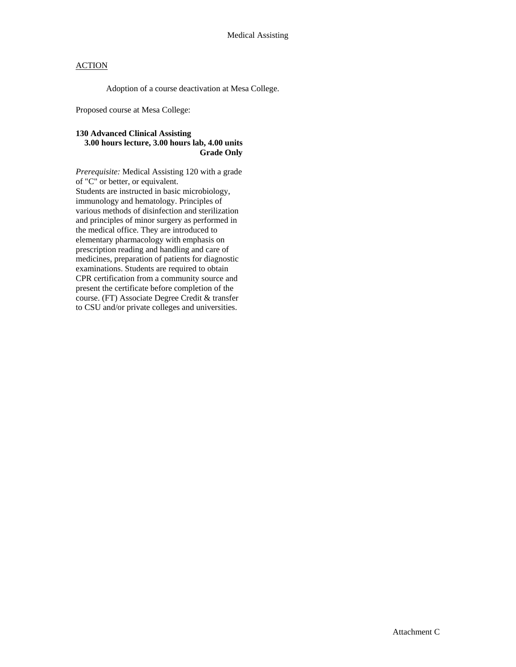Adoption of a course deactivation at Mesa College.

Proposed course at Mesa College:

## **130 Advanced Clinical Assisting 3.00 hours lecture, 3.00 hours lab, 4.00 units Grade Only**

*Prerequisite:* Medical Assisting 120 with a grade of "C" or better, or equivalent. Students are instructed in basic microbiology, immunology and hematology. Principles of various methods of disinfection and sterilization and principles of minor surgery as performed in the medical office. They are introduced to elementary pharmacology with emphasis on prescription reading and handling and care of medicines, preparation of patients for diagnostic examinations. Students are required to obtain CPR certification from a community source and present the certificate before completion of the course. (FT) Associate Degree Credit & transfer to CSU and/or private colleges and universities.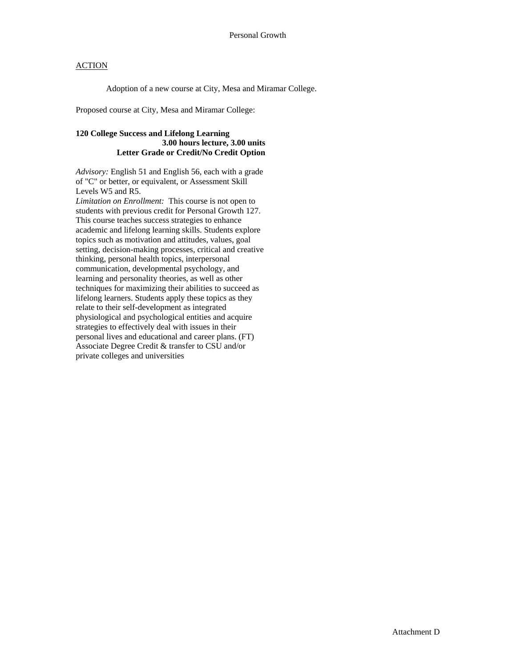Adoption of a new course at City, Mesa and Miramar College.

Proposed course at City, Mesa and Miramar College:

## **120 College Success and Lifelong Learning 3.00 hours lecture, 3.00 units Letter Grade or Credit/No Credit Option**

*Advisory:* English 51 and English 56, each with a grade of "C" or better, or equivalent, or Assessment Skill Levels W5 and R5.

*Limitation on Enrollment:* This course is not open to students with previous credit for Personal Growth 127. This course teaches success strategies to enhance academic and lifelong learning skills. Students explore topics such as motivation and attitudes, values, goal setting, decision-making processes, critical and creative thinking, personal health topics, interpersonal communication, developmental psychology, and learning and personality theories, as well as other techniques for maximizing their abilities to succeed as lifelong learners. Students apply these topics as they relate to their self-development as integrated physiological and psychological entities and acquire strategies to effectively deal with issues in their personal lives and educational and career plans. (FT) Associate Degree Credit & transfer to CSU and/or private colleges and universities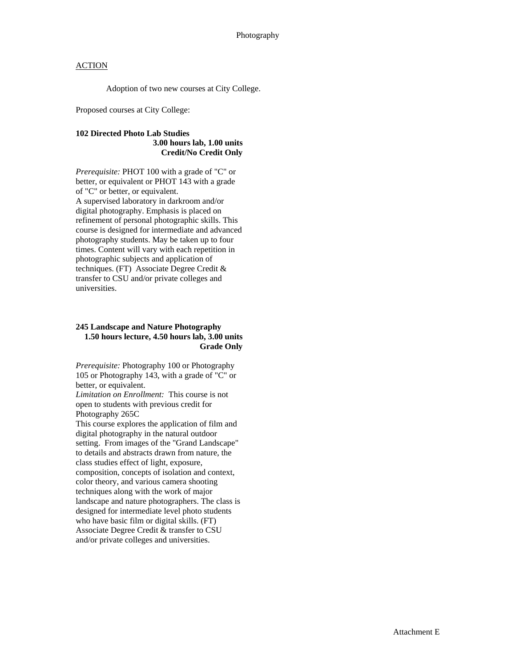Adoption of two new courses at City College.

Proposed courses at City College:

## **102 Directed Photo Lab Studies 3.00 hours lab, 1.00 units Credit/No Credit Only**

*Prerequisite:* PHOT 100 with a grade of "C" or better, or equivalent or PHOT 143 with a grade of "C" or better, or equivalent. A supervised laboratory in darkroom and/or digital photography. Emphasis is placed on refinement of personal photographic skills. This course is designed for intermediate and advanced photography students. May be taken up to four times. Content will vary with each repetition in photographic subjects and application of techniques. (FT) Associate Degree Credit & transfer to CSU and/or private colleges and universities.

### **245 Landscape and Nature Photography 1.50 hours lecture, 4.50 hours lab, 3.00 units Grade Only**

*Prerequisite:* Photography 100 or Photography 105 or Photography 143, with a grade of "C" or better, or equivalent.

*Limitation on Enrollment:* This course is not open to students with previous credit for Photography 265C

This course explores the application of film and digital photography in the natural outdoor setting. From images of the "Grand Landscape" to details and abstracts drawn from nature, the class studies effect of light, exposure, composition, concepts of isolation and context, color theory, and various camera shooting techniques along with the work of major landscape and nature photographers. The class is designed for intermediate level photo students who have basic film or digital skills. (FT) Associate Degree Credit & transfer to CSU and/or private colleges and universities.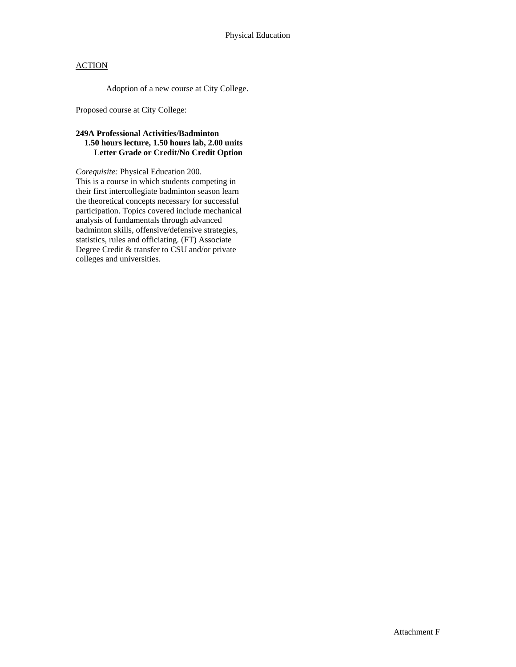Adoption of a new course at City College.

Proposed course at City College:

## **249A Professional Activities/Badminton 1.50 hours lecture, 1.50 hours lab, 2.00 units Letter Grade or Credit/No Credit Option**

*Corequisite:* Physical Education 200. This is a course in which students competing in their first intercollegiate badminton season learn the theoretical concepts necessary for successful participation. Topics covered include mechanical analysis of fundamentals through advanced badminton skills, offensive/defensive strategies, statistics, rules and officiating. (FT) Associate Degree Credit & transfer to CSU and/or private colleges and universities.